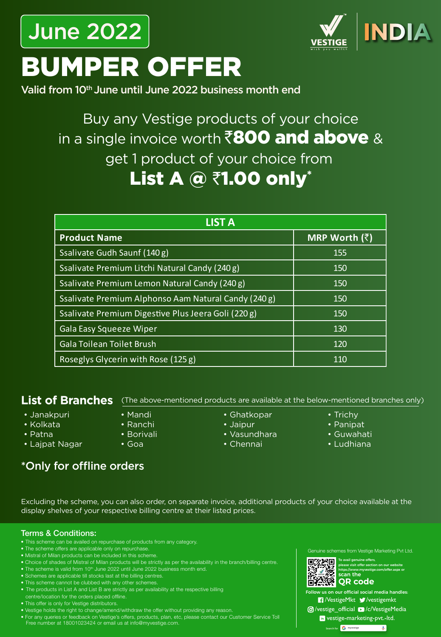## June 2022



# BUMPER OFFER

Valid from 10<sup>th</sup> June until June 2022 business month end

### Buy any Vestige products of your choice in a single invoice worth  $\bar{\mathbf{z}}$ 800 and above & get 1 product of your choice from List A  $@$  ₹1.00 only\*

| <b>LIST A</b>                                        |                       |
|------------------------------------------------------|-----------------------|
| <b>Product Name</b>                                  | MRP Worth $(\bar{z})$ |
| Ssalivate Gudh Saunf (140 g)                         | 155                   |
| Ssalivate Premium Litchi Natural Candy (240 g)       | 150                   |
| Ssalivate Premium Lemon Natural Candy (240 g)        | 150                   |
| Ssalivate Premium Alphonso Aam Natural Candy (240 g) | 150                   |
| Ssalivate Premium Digestive Plus Jeera Goli (220 g)  | 150                   |
| <b>Gala Easy Squeeze Wiper</b>                       | 130                   |
| <b>Gala Toilean Toilet Brush</b>                     | 120                   |
| Roseglys Glycerin with Rose (125 g)                  | 110                   |

#### **List of Branches**

- Janakpuri
- Kolkata
- Patna
- Lajpat Nagar
- Mandi
- Ranchi
- Borivali
- Goa
- Ghatkopar (The above-mentioned products are available at the below-mentioned branches only)
	- Jaipur
	- Vasundhara
	- Chennai
- Trichy
- Panipat
- Guwahati
- Ludhiana

#### \*Only for offline orders

Excluding the scheme, you can also order, on separate invoice, additional products of your choice available at the display shelves of your respective billing centre at their listed prices.

#### Terms & Conditions:

- This scheme can be availed on repurchase of products from any category.
- The scheme offers are applicable only on repurchase.
- Mistral of Milan products can be included in this scheme.
- Choice of shades of Mistral of Milan products will be strictly as per the availability in the branch/billing centre.
- The scheme is valid from 10<sup>th</sup> June 2022 until June 2022 business month end.
- Schemes are applicable till stocks last at the billing centres.
- This scheme cannot be clubbed with any other schemes.
- The products in List A and List B are strictly as per availability at the respective billing
- centre/location for the orders placed offline.
- This offer is only for Vestige distributors.
- Vestige holds the right to change/amend/withdraw the offer without providing any reason.
- For any queries or feedback on Vestige's offers, products, plan, etc, please contact our Customer Service Toll Free number at 18001023424 or email us at info@myvestige.com.

Genuine schemes from Vestige Marketing Pvt Ltd.



To avail genuine offers, please visit offer section on our website mvvestige.com/offer.aspx or. scan the

**QR code**  $\epsilon$  us on our official social media handles:

**7** VestigeMkt V vestigemkt **Ø/vestige\_official ■/c/VestigeMedia** 

in vestige-marketing-pvt.-ltd.

**Search for myvestige**  $\overline{\mathbf{v}}$